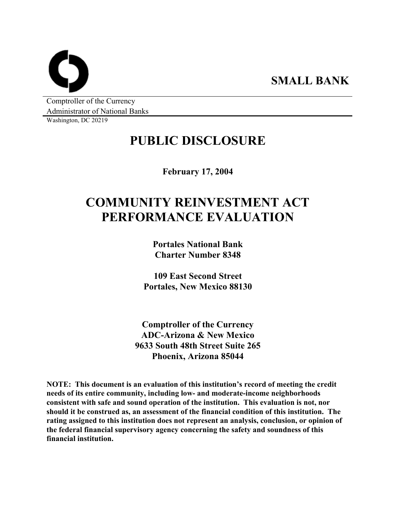**SMALL BANK** 

Comptroller of the Currency Administrator of National Banks

Washington, DC 20219

## **PUBLIC DISCLOSURE**

**February 17, 2004** 

# **COMMUNITY REINVESTMENT ACT PERFORMANCE EVALUATION**

**Portales National Bank Charter Number 8348** 

**109 East Second Street Portales, New Mexico 88130** 

**Comptroller of the Currency ADC-Arizona & New Mexico 9633 South 48th Street Suite 265 Phoenix, Arizona 85044** 

**NOTE: This document is an evaluation of this institution's record of meeting the credit needs of its entire community, including low- and moderate-income neighborhoods consistent with safe and sound operation of the institution. This evaluation is not, nor should it be construed as, an assessment of the financial condition of this institution. The rating assigned to this institution does not represent an analysis, conclusion, or opinion of the federal financial supervisory agency concerning the safety and soundness of this financial institution.**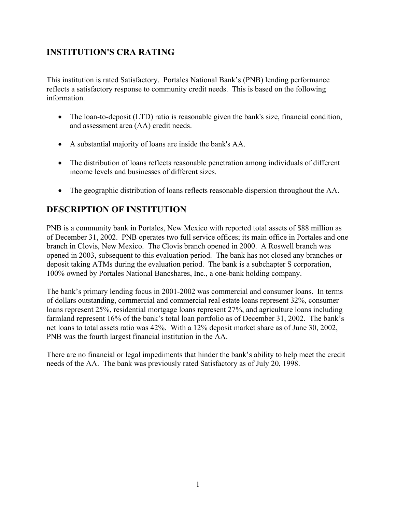## **INSTITUTION'S CRA RATING**

This institution is rated Satisfactory. Portales National Bank's (PNB) lending performance reflects a satisfactory response to community credit needs. This is based on the following information.

- The loan-to-deposit (LTD) ratio is reasonable given the bank's size, financial condition, and assessment area (AA) credit needs.
- A substantial majority of loans are inside the bank's AA.
- The distribution of loans reflects reasonable penetration among individuals of different income levels and businesses of different sizes.
- The geographic distribution of loans reflects reasonable dispersion throughout the AA.

## **DESCRIPTION OF INSTITUTION**

PNB is a community bank in Portales, New Mexico with reported total assets of \$88 million as of December 31, 2002. PNB operates two full service offices; its main office in Portales and one branch in Clovis, New Mexico. The Clovis branch opened in 2000. A Roswell branch was opened in 2003, subsequent to this evaluation period. The bank has not closed any branches or deposit taking ATMs during the evaluation period. The bank is a subchapter S corporation, 100% owned by Portales National Bancshares, Inc., a one-bank holding company.

The bank's primary lending focus in 2001-2002 was commercial and consumer loans. In terms of dollars outstanding, commercial and commercial real estate loans represent 32%, consumer loans represent 25%, residential mortgage loans represent 27%, and agriculture loans including farmland represent 16% of the bank's total loan portfolio as of December 31, 2002. The bank's net loans to total assets ratio was 42%. With a 12% deposit market share as of June 30, 2002, PNB was the fourth largest financial institution in the AA.

There are no financial or legal impediments that hinder the bank's ability to help meet the credit needs of the AA. The bank was previously rated Satisfactory as of July 20, 1998.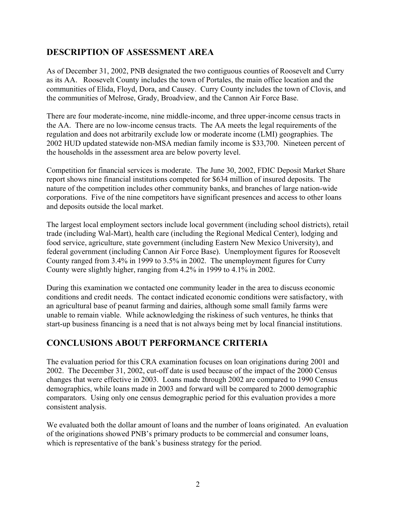## **DESCRIPTION OF ASSESSMENT AREA**

As of December 31, 2002, PNB designated the two contiguous counties of Roosevelt and Curry as its AA. Roosevelt County includes the town of Portales, the main office location and the communities of Elida, Floyd, Dora, and Causey. Curry County includes the town of Clovis, and the communities of Melrose, Grady, Broadview, and the Cannon Air Force Base.

There are four moderate-income, nine middle-income, and three upper-income census tracts in the AA. There are no low-income census tracts. The AA meets the legal requirements of the regulation and does not arbitrarily exclude low or moderate income (LMI) geographies. The 2002 HUD updated statewide non-MSA median family income is \$33,700. Nineteen percent of the households in the assessment area are below poverty level.

Competition for financial services is moderate. The June 30, 2002, FDIC Deposit Market Share report shows nine financial institutions competed for \$634 million of insured deposits. The nature of the competition includes other community banks, and branches of large nation-wide corporations. Five of the nine competitors have significant presences and access to other loans and deposits outside the local market.

The largest local employment sectors include local government (including school districts), retail trade (including Wal-Mart), health care (including the Regional Medical Center), lodging and food service, agriculture, state government (including Eastern New Mexico University), and federal government (including Cannon Air Force Base). Unemployment figures for Roosevelt County ranged from 3.4% in 1999 to 3.5% in 2002. The unemployment figures for Curry County were slightly higher, ranging from 4.2% in 1999 to 4.1% in 2002.

During this examination we contacted one community leader in the area to discuss economic conditions and credit needs. The contact indicated economic conditions were satisfactory, with an agricultural base of peanut farming and dairies, although some small family farms were unable to remain viable. While acknowledging the riskiness of such ventures, he thinks that start-up business financing is a need that is not always being met by local financial institutions.

### **CONCLUSIONS ABOUT PERFORMANCE CRITERIA**

The evaluation period for this CRA examination focuses on loan originations during 2001 and 2002. The December 31, 2002, cut-off date is used because of the impact of the 2000 Census changes that were effective in 2003. Loans made through 2002 are compared to 1990 Census demographics, while loans made in 2003 and forward will be compared to 2000 demographic comparators. Using only one census demographic period for this evaluation provides a more consistent analysis.

We evaluated both the dollar amount of loans and the number of loans originated. An evaluation of the originations showed PNB's primary products to be commercial and consumer loans, which is representative of the bank's business strategy for the period.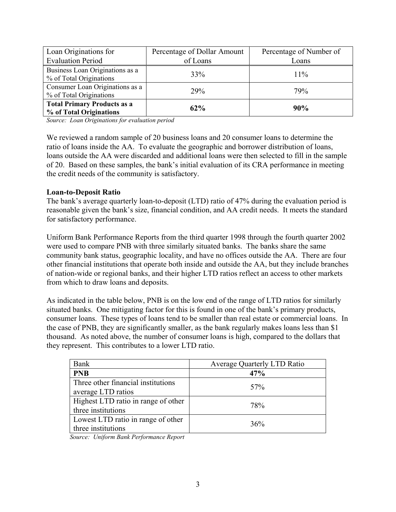| Loan Originations for                                         | Percentage of Dollar Amount | Percentage of Number of |
|---------------------------------------------------------------|-----------------------------|-------------------------|
| <b>Evaluation Period</b>                                      | of Loans                    | Loans                   |
| Business Loan Originations as a<br>% of Total Originations    | 33%                         | 11%                     |
| Consumer Loan Originations as a<br>% of Total Originations    | <b>29%</b>                  | 79%                     |
| <b>Total Primary Products as a</b><br>% of Total Originations | 62%                         | 90%                     |

*Source: Loan Originations for evaluation period*

We reviewed a random sample of 20 business loans and 20 consumer loans to determine the ratio of loans inside the AA. To evaluate the geographic and borrower distribution of loans, loans outside the AA were discarded and additional loans were then selected to fill in the sample of 20. Based on these samples, the bank's initial evaluation of its CRA performance in meeting the credit needs of the community is satisfactory.

#### **Loan-to-Deposit Ratio**

The bank's average quarterly loan-to-deposit (LTD) ratio of 47% during the evaluation period is reasonable given the bank's size, financial condition, and AA credit needs. It meets the standard for satisfactory performance.

Uniform Bank Performance Reports from the third quarter 1998 through the fourth quarter 2002 were used to compare PNB with three similarly situated banks. The banks share the same community bank status, geographic locality, and have no offices outside the AA. There are four other financial institutions that operate both inside and outside the AA, but they include branches of nation-wide or regional banks, and their higher LTD ratios reflect an access to other markets from which to draw loans and deposits.

As indicated in the table below, PNB is on the low end of the range of LTD ratios for similarly situated banks. One mitigating factor for this is found in one of the bank's primary products, consumer loans. These types of loans tend to be smaller than real estate or commercial loans. In the case of PNB, they are significantly smaller, as the bank regularly makes loans less than \$1 thousand. As noted above, the number of consumer loans is high, compared to the dollars that they represent. This contributes to a lower LTD ratio.

| Bank                                | <b>Average Quarterly LTD Ratio</b> |
|-------------------------------------|------------------------------------|
| <b>PNB</b>                          | 47%                                |
| Three other financial institutions  | 57%                                |
| average LTD ratios                  |                                    |
| Highest LTD ratio in range of other | 78%                                |
| three institutions                  |                                    |
| Lowest LTD ratio in range of other  | 36%                                |
| three institutions                  |                                    |

*Source: Uniform Bank Performance Report*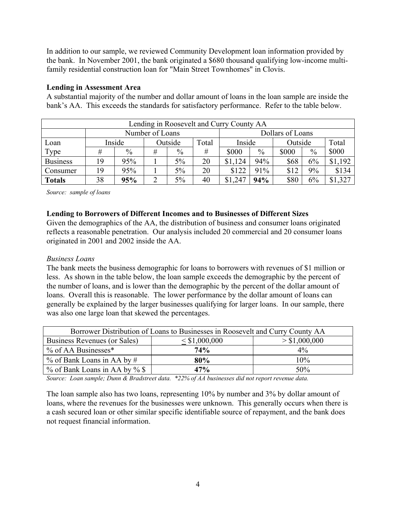In addition to our sample, we reviewed Community Development loan information provided by the bank. In November 2001, the bank originated a \$680 thousand qualifying low-income multifamily residential construction loan for "Main Street Townhomes" in Clovis.

#### **Lending in Assessment Area**

A substantial majority of the number and dollar amount of loans in the loan sample are inside the bank's AA. This exceeds the standards for satisfactory performance. Refer to the table below.

| Lending in Roosevelt and Curry County AA |    |               |   |         |                  |             |        |       |               |         |  |
|------------------------------------------|----|---------------|---|---------|------------------|-------------|--------|-------|---------------|---------|--|
|                                          |    |               |   |         | Dollars of Loans |             |        |       |               |         |  |
| Loan                                     |    | Inside        |   | Outside | Total            |             | Inside |       | Outside       | Total   |  |
| Type                                     |    | $\frac{0}{0}$ | # | $\%$    | #                | \$000       | $\%$   | \$000 | $\frac{0}{0}$ | \$000   |  |
| <b>Business</b>                          | 19 | 95%           |   | 5%      | 20               | \$1,124     | 94%    | \$68  | 6%            | \$1,192 |  |
| Consumer                                 | 19 | 95%           |   | 5%      | 20               | \$122       | 91%    | \$12  | 9%            | \$134   |  |
| <b>Totals</b>                            | 38 | 95%           |   | 5%      | 40               | \$1<br>.247 | 94%    | \$80  | 6%            | \$1,327 |  |

*Source: sample of loans* 

#### **Lending to Borrowers of Different Incomes and to Businesses of Different Sizes**

Given the demographics of the AA, the distribution of business and consumer loans originated reflects a reasonable penetration. Our analysis included 20 commercial and 20 consumer loans originated in 2001 and 2002 inside the AA.

#### *Business Loans*

The bank meets the business demographic for loans to borrowers with revenues of \$1 million or less. As shown in the table below, the loan sample exceeds the demographic by the percent of the number of loans, and is lower than the demographic by the percent of the dollar amount of loans. Overall this is reasonable. The lower performance by the dollar amount of loans can generally be explained by the larger businesses qualifying for larger loans. In our sample, there was also one large loan that skewed the percentages.

| Borrower Distribution of Loans to Businesses in Roosevelt and Curry County AA |               |       |  |  |  |  |  |  |
|-------------------------------------------------------------------------------|---------------|-------|--|--|--|--|--|--|
| Business Revenues (or Sales)                                                  | > \$1,000,000 |       |  |  |  |  |  |  |
| $\%$ of AA Businesses*                                                        | <b>74%</b>    | $4\%$ |  |  |  |  |  |  |
| $\%$ of Bank Loans in AA by #                                                 | 80%           | 10%   |  |  |  |  |  |  |
| % of Bank Loans in AA by % \$<br>50%<br>47%                                   |               |       |  |  |  |  |  |  |

*Source: Loan sample; Dunn & Bradstreet data. \*22% of AA businesses did not report revenue data.* 

The loan sample also has two loans, representing 10% by number and 3% by dollar amount of loans, where the revenues for the businesses were unknown. This generally occurs when there is a cash secured loan or other similar specific identifiable source of repayment, and the bank does not request financial information.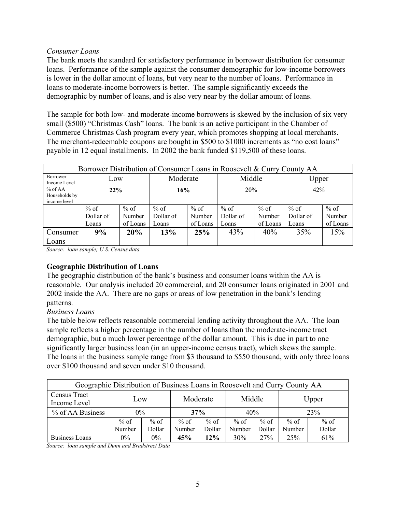#### *Consumer Loans*

The bank meets the standard for satisfactory performance in borrower distribution for consumer loans. Performance of the sample against the consumer demographic for low-income borrowers is lower in the dollar amount of loans, but very near to the number of loans. Performance in loans to moderate-income borrowers is better. The sample significantly exceeds the demographic by number of loans, and is also very near by the dollar amount of loans.

The sample for both low- and moderate-income borrowers is skewed by the inclusion of six very small (\$500) "Christmas Cash" loans. The bank is an active participant in the Chamber of Commerce Christmas Cash program every year, which promotes shopping at local merchants. The merchant-redeemable coupons are bought in \$500 to \$1000 increments as "no cost loans" payable in 12 equal installments. In 2002 the bank funded \$119,500 of these loans.

| Borrower Distribution of Consumer Loans in Roosevelt & Curry County AA |           |          |                    |          |           |          |           |          |  |
|------------------------------------------------------------------------|-----------|----------|--------------------|----------|-----------|----------|-----------|----------|--|
| Borrower<br>Income Level                                               | Low       |          | Middle<br>Moderate |          |           | Upper    |           |          |  |
| $%$ of AA<br>Households by<br>income level                             | 22%       |          | 16%                |          | 20%       |          | 42%       |          |  |
|                                                                        | $%$ of    | $%$ of   | $%$ of             | $%$ of   | $%$ of    | $%$ of   | $%$ of    | $%$ of   |  |
|                                                                        | Dollar of | Number   | Dollar of          | Number   | Dollar of | Number   | Dollar of | Number   |  |
|                                                                        | Loans     | of Loans | Loans              | of Loans | Loans     | of Loans | Loans     | of Loans |  |
| Consumer                                                               | 9%        | 20%      | 13%                | 25%      | 43%       | 40%      | 35%       | 15%      |  |
| Loans                                                                  |           |          |                    |          |           |          |           |          |  |

*Source: loan sample; U.S. Census data*

#### **Geographic Distribution of Loans**

The geographic distribution of the bank's business and consumer loans within the AA is reasonable. Our analysis included 20 commercial, and 20 consumer loans originated in 2001 and 2002 inside the AA. There are no gaps or areas of low penetration in the bank's lending patterns.

#### *Business Loans*

The table below reflects reasonable commercial lending activity throughout the AA. The loan sample reflects a higher percentage in the number of loans than the moderate-income tract demographic, but a much lower percentage of the dollar amount. This is due in part to one significantly larger business loan (in an upper-income census tract), which skews the sample. The loans in the business sample range from \$3 thousand to \$550 thousand, with only three loans over \$100 thousand and seven under \$10 thousand.

| Geographic Distribution of Business Loans in Roosevelt and Curry County AA |          |        |        |        |        |        |        |        |  |
|----------------------------------------------------------------------------|----------|--------|--------|--------|--------|--------|--------|--------|--|
| Census Tract<br>Income Level                                               | Moderate |        | Middle |        | Upper  |        |        |        |  |
| % of AA Business                                                           | $0\%$    |        | 37%    |        | 40%    |        | 23%    |        |  |
|                                                                            | $%$ of   | $%$ of | $%$ of | $%$ of | $%$ of | $%$ of | $%$ of | $%$ of |  |
|                                                                            | Number   | Number | Dollar | Number | Dollar | Number | Dollar |        |  |
| <b>Business Loans</b>                                                      | $0\%$    | $0\%$  | 45%    | 12%    | 30%    | 27%    | 25%    | 61%    |  |

*Source: loan sample and Dunn and Bradstreet Data*